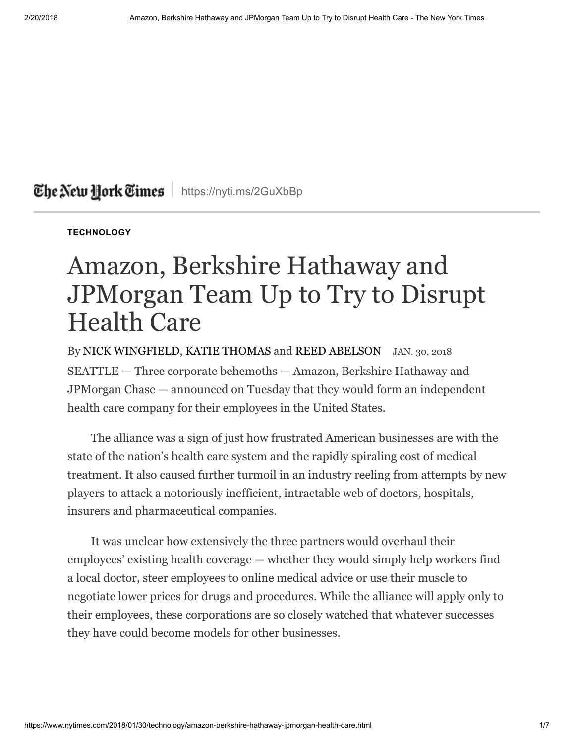## The Netu Hork Times | <https://nyti.ms/2GuXbBp>

## **[TECHNOLOGY](https://www.nytimes.com/section/technology)**

## Amazon, Berkshire Hathaway and JPMorgan Team Up to Try to Disrupt Health Care

By [NICK WINGFIELD,](https://www.nytimes.com/by/nick-wingfield) [KATIE THOMAS](https://www.nytimes.com/by/katie-thomas) and [REED ABELSON](https://www.nytimes.com/by/reed-abelson) JAN. 30, 2018 SEATTLE — Three corporate behemoths — Amazon, Berkshire Hathaway and JPMorgan Chase — announced on Tuesday that they would form an independent health care company for their employees in the United States.

The alliance was a sign of just how frustrated American businesses are with the state of the nation's health care system and the rapidly spiraling cost of medical treatment. It also caused further turmoil in an industry reeling from attempts by new players to attack a notoriously inefficient, intractable web of doctors, hospitals, insurers and pharmaceutical companies.

It was unclear how extensively the three partners would overhaul their employees' existing health coverage — whether they would simply help workers find a local doctor, steer employees to online medical advice or use their muscle to negotiate lower prices for drugs and procedures. While the alliance will apply only to their employees, these corporations are so closely watched that whatever successes they have could become models for other businesses.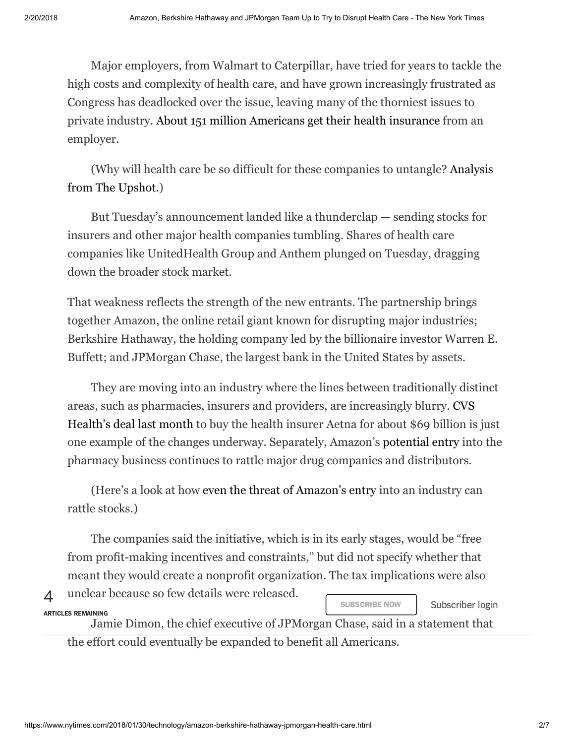Major employers, from Walmart to Caterpillar, have tried for years to tackle the high costs and complexity of health care, and have grown increasingly frustrated as Congress has deadlocked over the issue, leaving many of the thorniest issues to private industry. About 151 million [Americans](https://www.kff.org/health-costs/report/2017-employer-health-benefits-survey/view/print/) get their health insurance from an employer.

(Why will health care be so difficult for these [companies](https://www.nytimes.com/2018/01/30/upshot/can-amazon-and-friends-handle-health-care-theres-reason-for-doubt.html) to untangle? Analysis from The Upshot.)

But Tuesday's announcement landed like a thunderclap — sending stocks for insurers and other major health companies tumbling. Shares of health care companies like UnitedHealth Group and Anthem plunged on Tuesday, dragging down the broader stock market.

That weakness reflects the strength of the new entrants. The partnership brings together Amazon, the online retail giant known for disrupting major industries; Berkshire Hathaway, the holding company led by the billionaire investor Warren E. Buffett; and JPMorgan Chase, the largest bank in the United States by assets.

They are moving into an industry where the lines between traditionally distinct areas, such as [pharmacies,](https://www.nytimes.com/2017/12/03/business/dealbook/cvs-is-said-to-agree-to-buy-aetna-reshaping-health-care-industry.html) insurers and providers, are increasingly blurry. CVS Health's deal last month to buy the health insurer Aetna for about \$69 billion is just one example of the changes underway. Separately, Amazon's [potential](https://www.nytimes.com/2017/10/27/technology/amazon-pharmacy-drugs.html) entry into the pharmacy business continues to rattle major drug companies and distributors.

(Here's a look at how even the threat of [Amazon's](https://www.nytimes.com/interactive/2017/12/22/business/amazon-stocks.html) entry into an industry can rattle stocks.)

The companies said the initiative, which is in its early stages, would be "free from profit-making incentives and constraints," but did not specify whether that meant they would create a nonprofit organization. The tax implications were also

unclear because so few details were released. 4 ARTICLES REMAINING

[SUBSCRIBE](https://ad.doubleclick.net/ddm/trackclk/N296811.6440THENEWYORKTIMESCOMPA/B20703495.213966885;dc_trk_aid=412947383;dc_trk_cid=97487385;dc_lat=;dc_rdid=;tag_for_child_directed_treatment=) NOW [Subscriber](https://www.nytimes.com/2018/01/30/technology/amazon-berkshire-hathaway-jpmorgan-health-care.html) login

Jamie Dimon, the chief executive of JPMorgan Chase, said in a statement that the effort could eventually be expanded to benefit all Americans.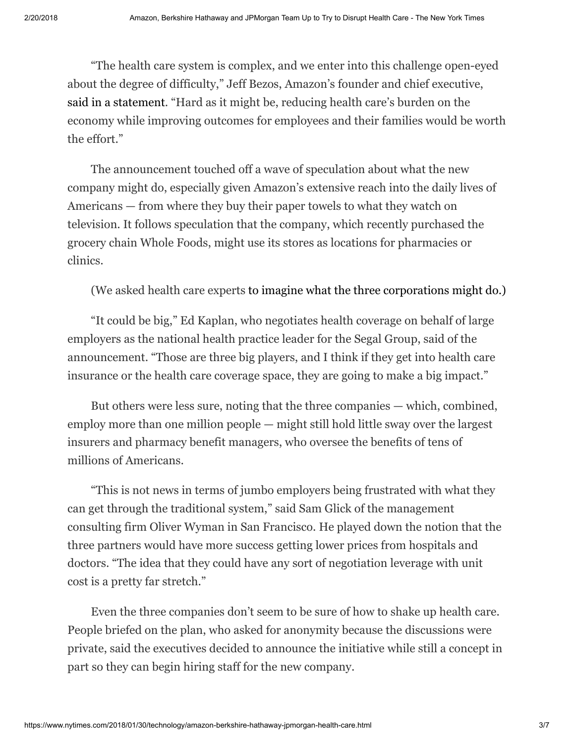"The health care system is complex, and we enter into this challenge open-eyed about the degree of difficulty," Jeff Bezos, Amazon's founder and chief executive, said in a [statement](https://www.businesswire.com/news/home/20180130005676/en/Amazon-Berkshire-Hathaway-JPMorgan-Chase-partner-U.S.). "Hard as it might be, reducing health care's burden on the economy while improving outcomes for employees and their families would be worth the effort."

The announcement touched off a wave of speculation about what the new company might do, especially given Amazon's extensive reach into the daily lives of Americans — from where they buy their paper towels to what they watch on television. It follows speculation that the company, which recently purchased the grocery chain Whole Foods, might use its stores as locations for pharmacies or clinics.

(We asked health care experts to imagine what the three [corporations](https://www.nytimes.com/2018/01/30/business/amazon-health-care-plan-reaction.html) might do.)

"It could be big," Ed Kaplan, who negotiates health coverage on behalf of large employers as the national health practice leader for the Segal Group, said of the announcement. "Those are three big players, and I think if they get into health care insurance or the health care coverage space, they are going to make a big impact."

But others were less sure, noting that the three companies — which, combined, employ more than one million people — might still hold little sway over the largest insurers and pharmacy benefit managers, who oversee the benefits of tens of millions of Americans.

"This is not news in terms of jumbo employers being frustrated with what they can get through the traditional system," said Sam Glick of the management consulting firm Oliver Wyman in San Francisco. He played down the notion that the three partners would have more success getting lower prices from hospitals and doctors. "The idea that they could have any sort of negotiation leverage with unit cost is a pretty far stretch."

Even the three companies don't seem to be sure of how to shake up health care. People briefed on the plan, who asked for anonymity because the discussions were private, said the executives decided to announce the initiative while still a concept in part so they can begin hiring staff for the new company.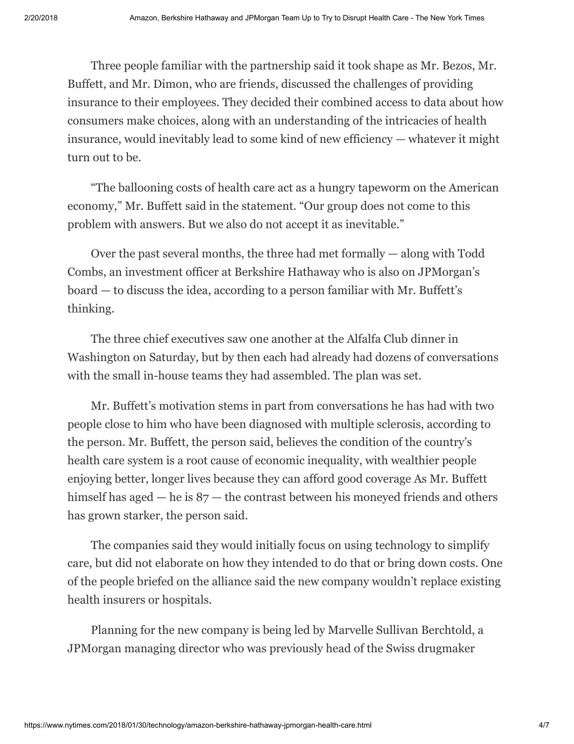Three people familiar with the partnership said it took shape as Mr. Bezos, Mr. Buffett, and Mr. Dimon, who are friends, discussed the challenges of providing insurance to their employees. They decided their combined access to data about how consumers make choices, along with an understanding of the intricacies of health insurance, would inevitably lead to some kind of new efficiency — whatever it might turn out to be.

"The ballooning costs of health care act as a hungry tapeworm on the American economy," Mr. Buffett said in the statement. "Our group does not come to this problem with answers. But we also do not accept it as inevitable."

Over the past several months, the three had met formally — along with Todd Combs, an investment officer at Berkshire Hathaway who is also on JPMorgan's board — to discuss the idea, according to a person familiar with Mr. Buffett's thinking.

The three chief executives saw one another at the Alfalfa Club dinner in Washington on Saturday, but by then each had already had dozens of conversations with the small in-house teams they had assembled. The plan was set.

Mr. Buffett's motivation stems in part from conversations he has had with two people close to him who have been diagnosed with multiple sclerosis, according to the person. Mr. Buffett, the person said, believes the condition of the country's health care system is a root cause of economic inequality, with wealthier people enjoying better, longer lives because they can afford good coverage As Mr. Buffett himself has aged — he is  $87$  — the contrast between his moneyed friends and others has grown starker, the person said.

The companies said they would initially focus on using technology to simplify care, but did not elaborate on how they intended to do that or bring down costs. One of the people briefed on the alliance said the new company wouldn't replace existing health insurers or hospitals.

Planning for the new company is being led by Marvelle Sullivan Berchtold, a JPMorgan managing director who was previously head of the Swiss drugmaker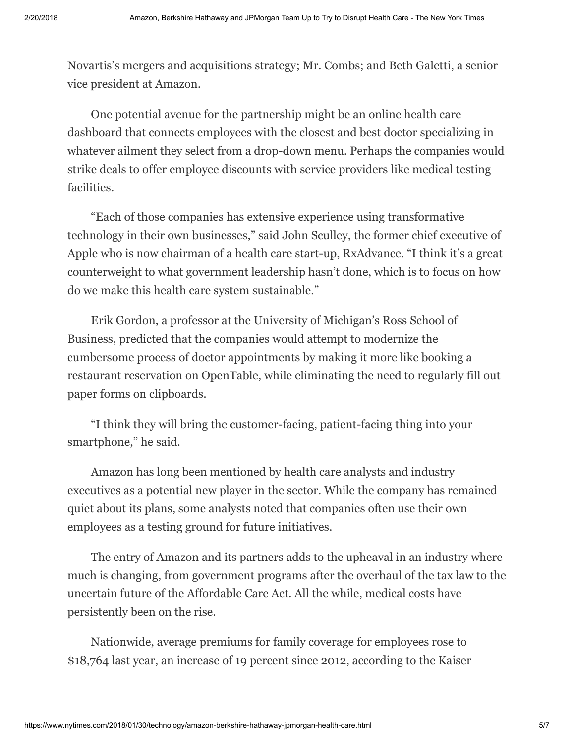Novartis's mergers and acquisitions strategy; Mr. Combs; and Beth Galetti, a senior vice president at Amazon.

One potential avenue for the partnership might be an online health care dashboard that connects employees with the closest and best doctor specializing in whatever ailment they select from a drop-down menu. Perhaps the companies would strike deals to offer employee discounts with service providers like medical testing facilities.

"Each of those companies has extensive experience using transformative technology in their own businesses," said John Sculley, the former chief executive of Apple who is now chairman of a health care start-up, RxAdvance. "I think it's a great counterweight to what government leadership hasn't done, which is to focus on how do we make this health care system sustainable."

Erik Gordon, a professor at the University of Michigan's Ross School of Business, predicted that the companies would attempt to modernize the cumbersome process of doctor appointments by making it more like booking a restaurant reservation on OpenTable, while eliminating the need to regularly fill out paper forms on clipboards.

"I think they will bring the customer-facing, patient-facing thing into your smartphone," he said.

Amazon has long been mentioned by health care analysts and industry executives as a potential new player in the sector. While the company has remained quiet about its plans, some analysts noted that companies often use their own employees as a testing ground for future initiatives.

The entry of Amazon and its partners adds to the upheaval in an industry where much is changing, from government programs after the overhaul of the tax law to the uncertain future of the Affordable Care Act. All the while, medical costs have persistently been on the rise.

Nationwide, average premiums for family coverage for employees rose to \$18,764 last year, an increase of 19 percent since 2012, according to the Kaiser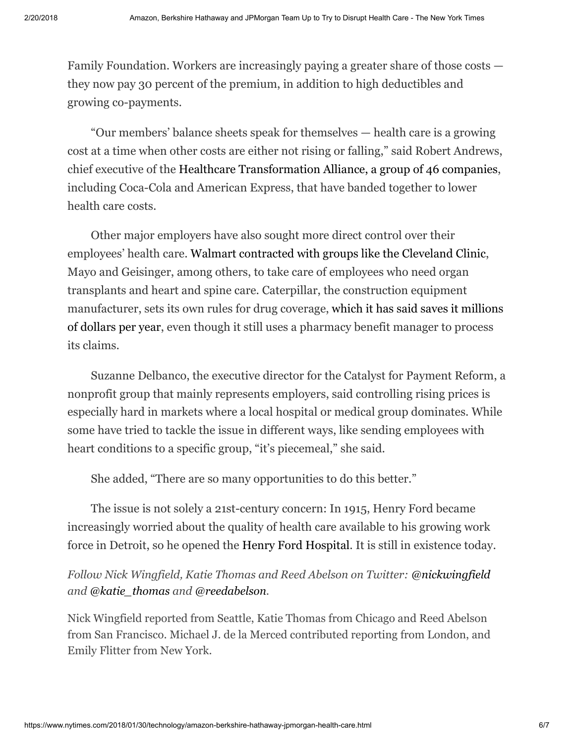Family Foundation. Workers are increasingly paying a greater share of those costs they now pay 30 percent of the premium, in addition to high deductibles and growing co-payments.

"Our members' balance sheets speak for themselves — health care is a growing cost at a time when other costs are either not rising or falling," said Robert Andrews, chief executive of the Healthcare [Transformation](http://www.htahealth.com/) Alliance, a group of 46 companies, including Coca-Cola and American Express, that have banded together to lower health care costs.

Other major employers have also sought more direct control over their employees' health care. Walmart [contracted](http://www.cleveland.com/healthfit/index.ssf/2012/10/wal-mart_to_send_employees_to.html) with groups like the Cleveland Clinic, Mayo and Geisinger, among others, to take care of employees who need organ transplants and heart and spine care. Caterpillar, the construction equipment [manufacturer,](https://www.bloomberg.com/news/articles/2017-03-03/drug-costs-too-high-fire-the-middleman) sets its own rules for drug coverage, which it has said saves it millions of dollars per year, even though it still uses a pharmacy benefit manager to process its claims.

Suzanne Delbanco, the executive director for the Catalyst for Payment Reform, a nonprofit group that mainly represents employers, said controlling rising prices is especially hard in markets where a local hospital or medical group dominates. While some have tried to tackle the issue in different ways, like sending employees with heart conditions to a specific group, "it's piecemeal," she said.

She added, "There are so many opportunities to do this better."

The issue is not solely a 21st-century concern: In 1915, Henry Ford became increasingly worried about the quality of health care available to his growing work force in Detroit, so he opened the Henry Ford [Hospital.](https://www.henryford.com/about/culture/history/hfhs/beginning) It is still in existence today.

*Follow Nick Wingfield, Katie Thomas and Reed Abelson on Twitter: [@nickwingfield](https://www.twitter.com/nickwingfield) and [@katie\\_thomas](https://www.twitter.com/katie_thomas) and [@reedabelson.](https://twitter.com/reedabelson)*

Nick Wingfield reported from Seattle, Katie Thomas from Chicago and Reed Abelson from San Francisco. Michael J. de la Merced contributed reporting from London, and Emily Flitter from New York.